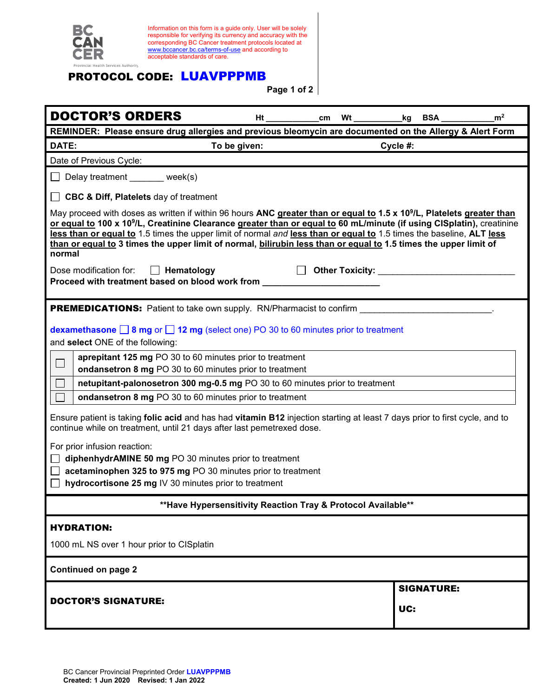

Information on this form is a guide only. User will be solely responsible for verifying its currency and accuracy with the corresponding BC Cancer treatment protocols located at [www.bccancer.bc.ca/terms-of-use](http://www.bccancer.bc.ca/terms-of-use) and according to acceptable standards of care.

## PROTOCOL CODE: LUAVPPPMB

**Page 1 of 2**

| <b>DOCTOR'S ORDERS</b>                                                                                                                                                                                                                                                                                                                                                                                                                                                                                                        |  |  |  |                                  | Ht _____________cm Wt _____________kg BSA _____________ | m <sup>2</sup> |
|-------------------------------------------------------------------------------------------------------------------------------------------------------------------------------------------------------------------------------------------------------------------------------------------------------------------------------------------------------------------------------------------------------------------------------------------------------------------------------------------------------------------------------|--|--|--|----------------------------------|---------------------------------------------------------|----------------|
| REMINDER: Please ensure drug allergies and previous bleomycin are documented on the Allergy & Alert Form                                                                                                                                                                                                                                                                                                                                                                                                                      |  |  |  |                                  |                                                         |                |
| DATE:<br>To be given:                                                                                                                                                                                                                                                                                                                                                                                                                                                                                                         |  |  |  | Cycle #:                         |                                                         |                |
| Date of Previous Cycle:                                                                                                                                                                                                                                                                                                                                                                                                                                                                                                       |  |  |  |                                  |                                                         |                |
| Delay treatment _______ week(s)                                                                                                                                                                                                                                                                                                                                                                                                                                                                                               |  |  |  |                                  |                                                         |                |
| $\Box$ CBC & Diff, Platelets day of treatment                                                                                                                                                                                                                                                                                                                                                                                                                                                                                 |  |  |  |                                  |                                                         |                |
| May proceed with doses as written if within 96 hours ANC greater than or equal to 1.5 x 10 <sup>9</sup> /L, Platelets greater than<br>or equal to 100 x 10 <sup>9</sup> /L, Creatinine Clearance greater than or equal to 60 mL/minute (if using CISplatin), creatinine<br>less than or equal to 1.5 times the upper limit of normal and less than or equal to 1.5 times the baseline, ALT less<br>than or equal to 3 times the upper limit of normal, bilirubin less than or equal to 1.5 times the upper limit of<br>normal |  |  |  |                                  |                                                         |                |
| Dose modification for: <b>Nematology</b><br>Proceed with treatment based on blood work from __                                                                                                                                                                                                                                                                                                                                                                                                                                |  |  |  | Other Toxicity: ________________ |                                                         |                |
| <b>PREMEDICATIONS:</b> Patient to take own supply. RN/Pharmacist to confirm                                                                                                                                                                                                                                                                                                                                                                                                                                                   |  |  |  |                                  |                                                         |                |
| dexamethasone $\Box$ 8 mg or $\Box$ 12 mg (select one) PO 30 to 60 minutes prior to treatment<br>and select ONE of the following:                                                                                                                                                                                                                                                                                                                                                                                             |  |  |  |                                  |                                                         |                |
| aprepitant 125 mg PO 30 to 60 minutes prior to treatment                                                                                                                                                                                                                                                                                                                                                                                                                                                                      |  |  |  |                                  |                                                         |                |
| ondansetron 8 mg PO 30 to 60 minutes prior to treatment                                                                                                                                                                                                                                                                                                                                                                                                                                                                       |  |  |  |                                  |                                                         |                |
| netupitant-palonosetron 300 mg-0.5 mg PO 30 to 60 minutes prior to treatment                                                                                                                                                                                                                                                                                                                                                                                                                                                  |  |  |  |                                  |                                                         |                |
| $\Box$<br>ondansetron 8 mg PO 30 to 60 minutes prior to treatment                                                                                                                                                                                                                                                                                                                                                                                                                                                             |  |  |  |                                  |                                                         |                |
| Ensure patient is taking folic acid and has had vitamin B12 injection starting at least 7 days prior to first cycle, and to<br>continue while on treatment, until 21 days after last pemetrexed dose.                                                                                                                                                                                                                                                                                                                         |  |  |  |                                  |                                                         |                |
| For prior infusion reaction:                                                                                                                                                                                                                                                                                                                                                                                                                                                                                                  |  |  |  |                                  |                                                         |                |
| diphenhydrAMINE 50 mg PO 30 minutes prior to treatment                                                                                                                                                                                                                                                                                                                                                                                                                                                                        |  |  |  |                                  |                                                         |                |
| acetaminophen 325 to 975 mg PO 30 minutes prior to treatment                                                                                                                                                                                                                                                                                                                                                                                                                                                                  |  |  |  |                                  |                                                         |                |
| hydrocortisone 25 mg IV 30 minutes prior to treatment<br>$\perp$                                                                                                                                                                                                                                                                                                                                                                                                                                                              |  |  |  |                                  |                                                         |                |
| **Have Hypersensitivity Reaction Tray & Protocol Available**                                                                                                                                                                                                                                                                                                                                                                                                                                                                  |  |  |  |                                  |                                                         |                |
| <b>HYDRATION:</b>                                                                                                                                                                                                                                                                                                                                                                                                                                                                                                             |  |  |  |                                  |                                                         |                |
| 1000 mL NS over 1 hour prior to CISplatin                                                                                                                                                                                                                                                                                                                                                                                                                                                                                     |  |  |  |                                  |                                                         |                |
| Continued on page 2                                                                                                                                                                                                                                                                                                                                                                                                                                                                                                           |  |  |  |                                  |                                                         |                |
| <b>DOCTOR'S SIGNATURE:</b>                                                                                                                                                                                                                                                                                                                                                                                                                                                                                                    |  |  |  | <b>SIGNATURE:</b>                |                                                         |                |
|                                                                                                                                                                                                                                                                                                                                                                                                                                                                                                                               |  |  |  | UC:                              |                                                         |                |
|                                                                                                                                                                                                                                                                                                                                                                                                                                                                                                                               |  |  |  |                                  |                                                         |                |